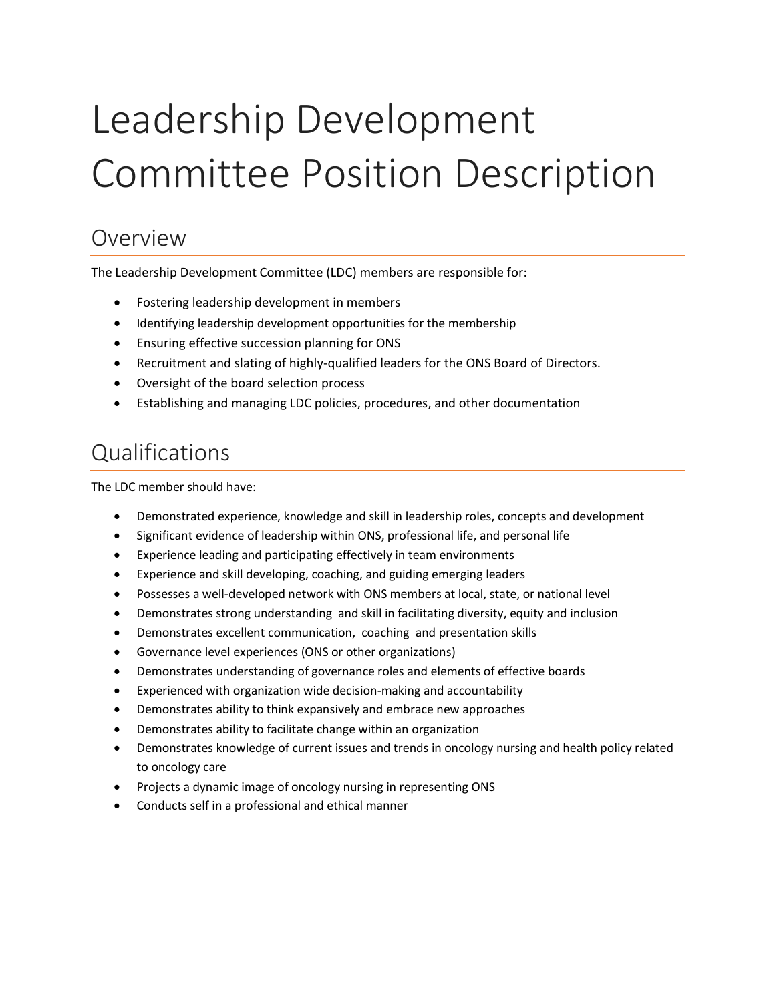# Leadership Development Committee Position Description

### Overview

The Leadership Development Committee (LDC) members are responsible for:

- Fostering leadership development in members
- Identifying leadership development opportunities for the membership
- Ensuring effective succession planning for ONS
- Recruitment and slating of highly-qualified leaders for the ONS Board of Directors.
- Oversight of the board selection process
- Establishing and managing LDC policies, procedures, and other documentation

## Qualifications

The LDC member should have:

- Demonstrated experience, knowledge and skill in leadership roles, concepts and development
- Significant evidence of leadership within ONS, professional life, and personal life
- Experience leading and participating effectively in team environments
- Experience and skill developing, coaching, and guiding emerging leaders
- Possesses a well-developed network with ONS members at local, state, or national level
- Demonstrates strong understanding and skill in facilitating diversity, equity and inclusion
- Demonstrates excellent communication, coaching and presentation skills
- Governance level experiences (ONS or other organizations)
- Demonstrates understanding of governance roles and elements of effective boards
- Experienced with organization wide decision-making and accountability
- Demonstrates ability to think expansively and embrace new approaches
- Demonstrates ability to facilitate change within an organization
- Demonstrates knowledge of current issues and trends in oncology nursing and health policy related to oncology care
- Projects a dynamic image of oncology nursing in representing ONS
- Conducts self in a professional and ethical manner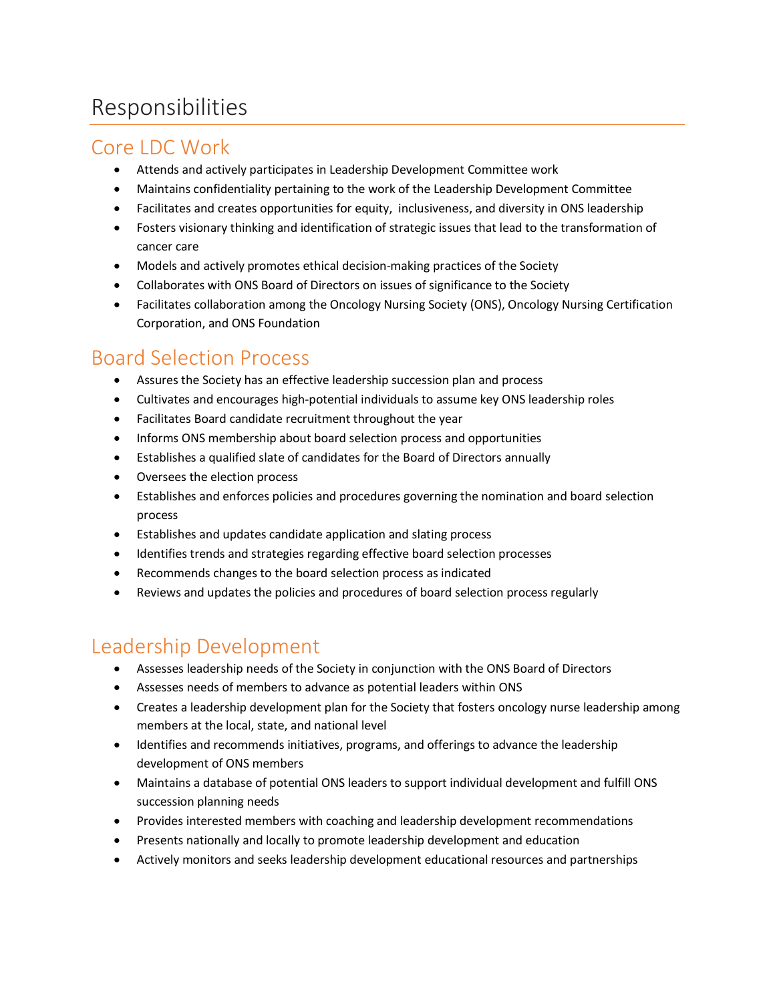## Responsibilities

#### Core LDC Work

- Attends and actively participates in Leadership Development Committee work
- Maintains confidentiality pertaining to the work of the Leadership Development Committee
- Facilitates and creates opportunities for equity, inclusiveness, and diversity in ONS leadership
- Fosters visionary thinking and identification of strategic issues that lead to the transformation of cancer care
- Models and actively promotes ethical decision-making practices of the Society
- Collaborates with ONS Board of Directors on issues of significance to the Society
- Facilitates collaboration among the Oncology Nursing Society (ONS), Oncology Nursing Certification Corporation, and ONS Foundation

#### Board Selection Process

- Assures the Society has an effective leadership succession plan and process
- Cultivates and encourages high-potential individuals to assume key ONS leadership roles
- Facilitates Board candidate recruitment throughout the year
- Informs ONS membership about board selection process and opportunities
- Establishes a qualified slate of candidates for the Board of Directors annually
- Oversees the election process
- Establishes and enforces policies and procedures governing the nomination and board selection process
- Establishes and updates candidate application and slating process
- Identifies trends and strategies regarding effective board selection processes
- Recommends changes to the board selection process as indicated
- Reviews and updates the policies and procedures of board selection process regularly

#### Leadership Development

- Assesses leadership needs of the Society in conjunction with the ONS Board of Directors
- Assesses needs of members to advance as potential leaders within ONS
- Creates a leadership development plan for the Society that fosters oncology nurse leadership among members at the local, state, and national level
- Identifies and recommends initiatives, programs, and offerings to advance the leadership development of ONS members
- Maintains a database of potential ONS leaders to support individual development and fulfill ONS succession planning needs
- Provides interested members with coaching and leadership development recommendations
- Presents nationally and locally to promote leadership development and education
- Actively monitors and seeks leadership development educational resources and partnerships